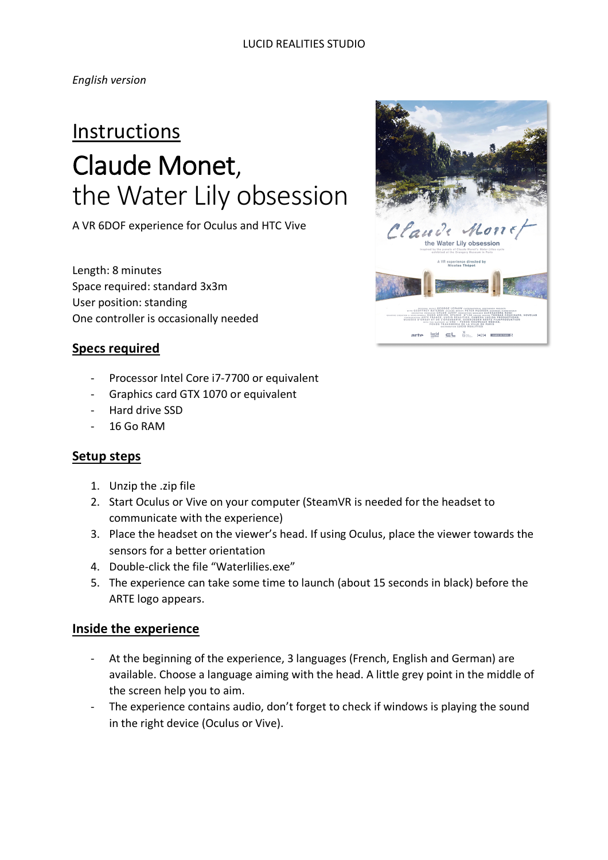*English version*

# **Instructions** Claude Monet, the Water Lily obsession

A VR 6DOF experience for Oculus and HTC Vive

Length: 8 minutes Space required: standard 3x3m User position: standing One controller is occasionally needed

## **Specs required**

- Processor Intel Core i7-7700 or equivalent
- Graphics card GTX 1070 or equivalent
- Hard drive SSD
- 16 Go RAM

### **Setup steps**

- 1. Unzip the .zip file
- 2. Start Oculus or Vive on your computer (SteamVR is needed for the headset to communicate with the experience)
- 3. Place the headset on the viewer's head. If using Oculus, place the viewer towards the sensors for a better orientation
- 4. Double-click the file "Waterlilies.exe"
- 5. The experience can take some time to launch (about 15 seconds in black) before the ARTE logo appears.

### **Inside the experience**

- At the beginning of the experience, 3 languages (French, English and German) are available. Choose a language aiming with the head. A little grey point in the middle of the screen help you to aim.
- The experience contains audio, don't forget to check if windows is playing the sound in the right device (Oculus or Vive).